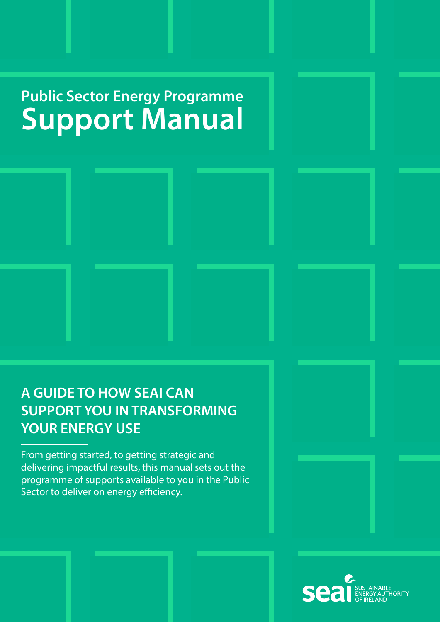### **Public Sector Energy Programme Public Sector Energy Programme<br>
SUDDOLT Manual Support Manual**

**COVER**



From getting started, to getting strategic and delivering impactful results, this manual sets out the programme of supports available to you in the Public Sector to deliver on energy efficiency.

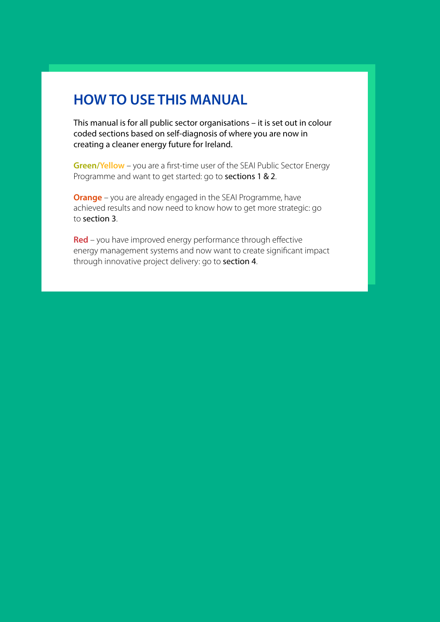### **HOW TO USE THIS MANUAL**

This manual is for all public sector organisations – it is set out in colour coded sections based on self-diagnosis of where you are now in creating a cleaner energy future for Ireland.

**Green/Yellow** – you are a first-time user of the SEAI Public Sector Energy Programme and want to get started: go to sections 1 & 2.

**Orange** – you are already engaged in the SEAI Programme, have achieved results and now need to know how to get more strategic: go to section 3.

**Red** – you have improved energy performance through effective energy management systems and now want to create significant impact through innovative project delivery: go to section 4.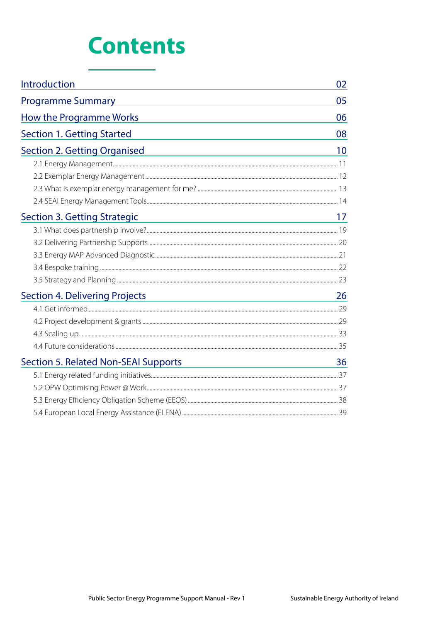# **Contents**

| Introduction                                                                                                                                                | 02 |
|-------------------------------------------------------------------------------------------------------------------------------------------------------------|----|
| <b>Programme Summary</b>                                                                                                                                    | 05 |
| How the Programme Works                                                                                                                                     | 06 |
| <b>Section 1. Getting Started</b>                                                                                                                           | 08 |
| <b>Section 2. Getting Organised</b>                                                                                                                         | 10 |
|                                                                                                                                                             |    |
|                                                                                                                                                             |    |
|                                                                                                                                                             |    |
|                                                                                                                                                             |    |
| <b>Section 3. Getting Strategic</b><br><u> 1989 - Johann Stein, marwolaethau a bhann an t-Amhair an t-Amhair an t-Amhair an t-Amhair an t-Amhair an t-A</u> | 17 |
|                                                                                                                                                             |    |
|                                                                                                                                                             |    |
|                                                                                                                                                             |    |
|                                                                                                                                                             |    |
|                                                                                                                                                             |    |
| <b>Section 4. Delivering Projects</b>                                                                                                                       | 26 |
|                                                                                                                                                             |    |
|                                                                                                                                                             |    |
|                                                                                                                                                             |    |
|                                                                                                                                                             |    |
| <b>Section 5. Related Non-SEAI Supports</b><br><u> 1989 - Johann Stein, mars an deus Amerikaansk kommunister (</u>                                          | 36 |
|                                                                                                                                                             |    |
|                                                                                                                                                             |    |
|                                                                                                                                                             |    |
|                                                                                                                                                             |    |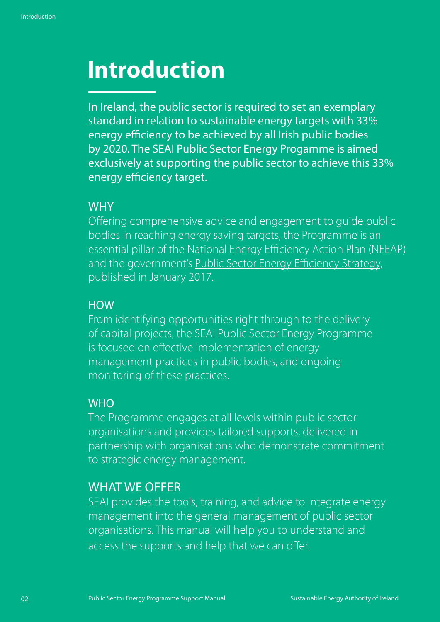# <span id="page-3-0"></span>**Introduction**

In Ireland, the public sector is required to set an exemplary standard in relation to sustainable energy targets with 33% energy efficiency to be achieved by all Irish public bodies by 2020. The SEAI Public Sector Energy Progamme is aimed exclusively at supporting the public sector to achieve this 33% energy efficiency target.

### **WHY**

Offering comprehensive advice and engagement to guide public bodies in reaching energy saving targets, the Programme is an essential pillar of the National Energy Efficiency Action Plan (NEEAP) and the government's [Public Sector Energy Efficiency Strategy,](https://www.dccae.gov.ie/documents/Public%20Sector%20Energy%20Efficiency%20Strategy.pdf) published in January 2017.

### **HOW**

From identifying opportunities right through to the delivery of capital projects, the SEAI Public Sector Energy Programme is focused on effective implementation of energy management practices in public bodies, and ongoing monitoring of these practices.

### **WHO**

The Programme engages at all levels within public sector organisations and provides tailored supports, delivered in partnership with organisations who demonstrate commitment to strategic energy management.

### WHAT WE OFFER

SEAI provides the tools, training, and advice to integrate energy management into the general management of public sector organisations. This manual will help you to understand and access the supports and help that we can offer.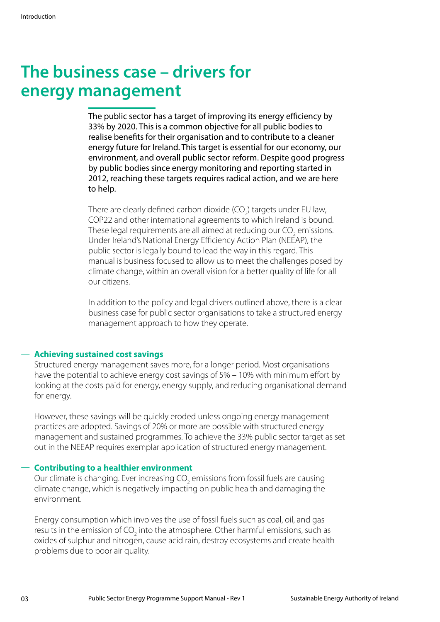## **The business case – drivers for energy management**

The public sector has a target of improving its energy efficiency by 33% by 2020. This is a common objective for all public bodies to realise benefits for their organisation and to contribute to a cleaner energy future for Ireland. This target is essential for our economy, our environment, and overall public sector reform. Despite good progress by public bodies since energy monitoring and reporting started in 2012, reaching these targets requires radical action, and we are here to help.

There are clearly defined carbon dioxide (CO<sub>2</sub>) targets under EU law, COP22 and other international agreements to which Ireland is bound. These legal requirements are all aimed at reducing our CO<sub>2</sub> emissions. Under Ireland's National Energy Efficiency Action Plan (NEEAP), the public sector is legally bound to lead the way in this regard. This manual is business focused to allow us to meet the challenges posed by climate change, within an overall vision for a better quality of life for all our citizens.

In addition to the policy and legal drivers outlined above, there is a clear business case for public sector organisations to take a structured energy management approach to how they operate.

#### **Ū Achieving sustained cost savings**

Structured energy management saves more, for a longer period. Most organisations have the potential to achieve energy cost savings of 5% – 10% with minimum effort by looking at the costs paid for energy, energy supply, and reducing organisational demand for energy.

However, these savings will be quickly eroded unless ongoing energy management practices are adopted. Savings of 20% or more are possible with structured energy management and sustained programmes. To achieve the 33% public sector target as set out in the NEEAP requires exemplar application of structured energy management.

#### **Ū Contributing to a healthier environment**

Our climate is changing. Ever increasing CO<sub>2</sub> emissions from fossil fuels are causing climate change, which is negatively impacting on public health and damaging the environment.

Energy consumption which involves the use of fossil fuels such as coal, oil, and gas results in the emission of CO<sub>2</sub> into the atmosphere. Other harmful emissions, such as oxides of sulphur and nitrogen, cause acid rain, destroy ecosystems and create health problems due to poor air quality.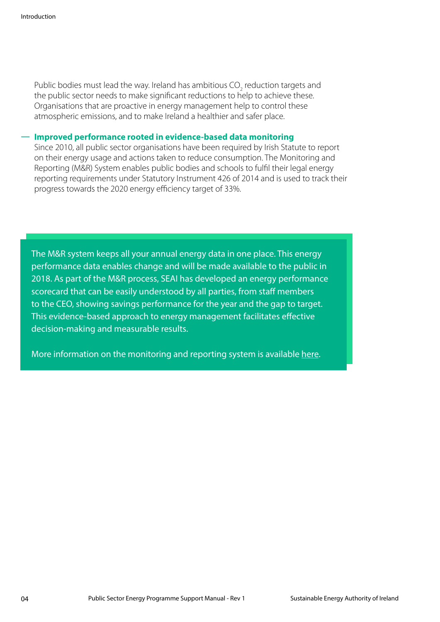Public bodies must lead the way. Ireland has ambitious CO<sub>2</sub> reduction targets and the public sector needs to make significant reductions to help to achieve these. Organisations that are proactive in energy management help to control these atmospheric emissions, and to make Ireland a healthier and safer place.

#### **Ū Improved performance rooted in evidence-based data monitoring**

Since 2010, all public sector organisations have been required by Irish Statute to report on their energy usage and actions taken to reduce consumption. The Monitoring and Reporting (M&R) System enables public bodies and schools to fulfil their legal energy reporting requirements under Statutory Instrument 426 of 2014 and is used to track their progress towards the 2020 energy efficiency target of 33%.

The M&R system keeps all your annual energy data in one place. This energy performance data enables change and will be made available to the public in 2018. As part of the M&R process, SEAI has developed an energy performance scorecard that can be easily understood by all parties, from staff members to the CEO, showing savings performance for the year and the gap to target. This evidence-based approach to energy management facilitates effective decision-making and measurable results.

More information on the monitoring and reporting system is available [here](https://www.seai.ie/energy-in-business/monitoring-and-reporting/).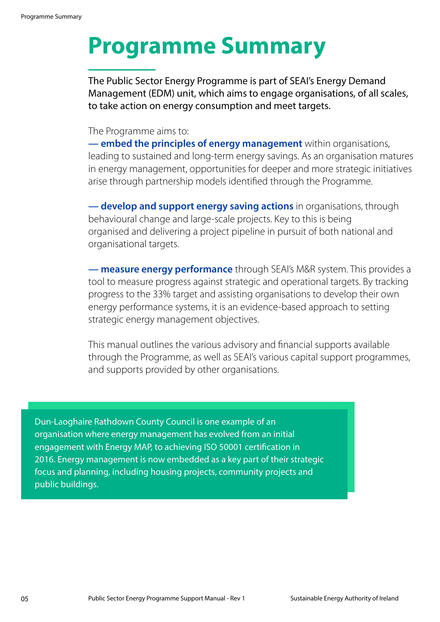# <span id="page-6-0"></span>**Programme Summary**

The Public Sector Energy Programme is part of SEAI's Energy Demand Management (EDM) unit, which aims to engage organisations, of all scales, to take action on energy consumption and meet targets.

#### The Programme aims to:

**— embed the principles of energy management** within organisations, leading to sustained and long-term energy savings. As an organisation matures in energy management, opportunities for deeper and more strategic initiatives arise through partnership models identified through the Programme.

**— develop and support energy saving actions** in organisations, through behavioural change and large-scale projects. Key to this is being organised and delivering a project pipeline in pursuit of both national and organisational targets.

**— measure energy performance** through SEAI's M&R system. This provides a tool to measure progress against strategic and operational targets. By tracking progress to the 33% target and assisting organisations to develop their own energy performance systems, it is an evidence-based approach to setting strategic energy management objectives.

This manual outlines the various advisory and financial supports available through the Programme, as well as SEAI's various capital support programmes, and supports provided by other organisations.

Dun-Laoghaire Rathdown County Council is one example of an organisation where energy management has evolved from an initial engagement with Energy MAP, to achieving ISO 50001 certification in 2016. Energy management is now embedded as a key part of their strategic focus and planning, including housing projects, community projects and public buildings.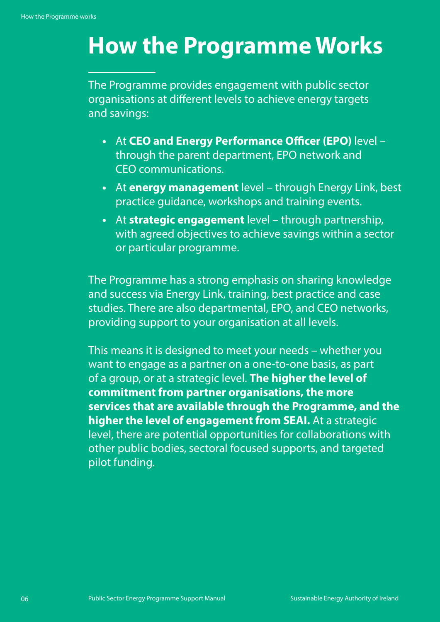# <span id="page-7-0"></span>**How the Programme Works**

The Programme provides engagement with public sector organisations at different levels to achieve energy targets and savings:

- **•** At **CEO and Energy Performance Officer (EPO)** level through the parent department, EPO network and CEO communications.
- **•** At **energy management** level through Energy Link, best practice guidance, workshops and training events.
- **•** At **strategic engagement** level through partnership, with agreed objectives to achieve savings within a sector or particular programme.

The Programme has a strong emphasis on sharing knowledge and success via Energy Link, training, best practice and case studies. There are also departmental, EPO, and CEO networks, providing support to your organisation at all levels.

This means it is designed to meet your needs – whether you want to engage as a partner on a one-to-one basis, as part of a group, or at a strategic level. **The higher the level of commitment from partner organisations, the more services that are available through the Programme, and the higher the level of engagement from SEAI.** At a strategic level, there are potential opportunities for collaborations with other public bodies, sectoral focused supports, and targeted pilot funding.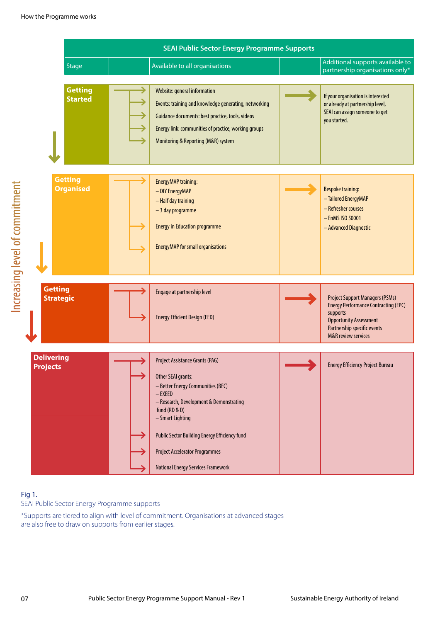

### Fig 1.

Increasing level of commitment

Increasing level of commitment

SEAI Public Sector Energy Programme supports

\*Supports are tiered to align with level of commitment. Organisations at advanced stages are also free to draw on supports from earlier stages.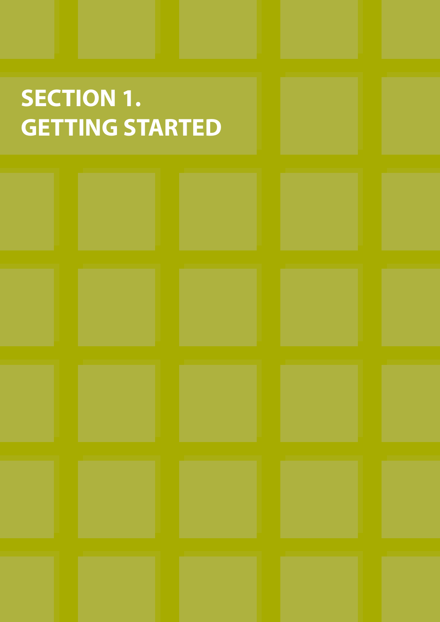# <span id="page-9-0"></span>**SECTION 1. GETTING STARTED**

|                                                           | the contract of the contract of the contract of the                                    | the contract of the contract of the contract of the contract of<br><u> The Common Second Common Second Common Second Common Second Common Second Common Second Common Second Common Second</u> | the contract of the contract of the contract of the contract of the contract of<br><u> Andrew Hermann and American State (1986)</u> | <b>Contract Contract Contract Contract</b>                      |
|-----------------------------------------------------------|----------------------------------------------------------------------------------------|------------------------------------------------------------------------------------------------------------------------------------------------------------------------------------------------|-------------------------------------------------------------------------------------------------------------------------------------|-----------------------------------------------------------------|
|                                                           | <b>The Committee of the Committee of the Committee</b>                                 | the control of the control of the control of the control of the control of                                                                                                                     | the contract of the contract of the contract of the contract of the contract of                                                     |                                                                 |
|                                                           |                                                                                        |                                                                                                                                                                                                |                                                                                                                                     |                                                                 |
| <u> Tanzania (m. 1888)</u><br><u> Maria Alemania de S</u> | the control of the control of the control of the control of the control of<br>________ | and the control of the control of the control of<br><b>CONTRACTOR</b>                                                                                                                          | and the control of the control of the control of the control of the control of<br>_________                                         | <b>Service Service</b><br><b>The Committee of the Committee</b> |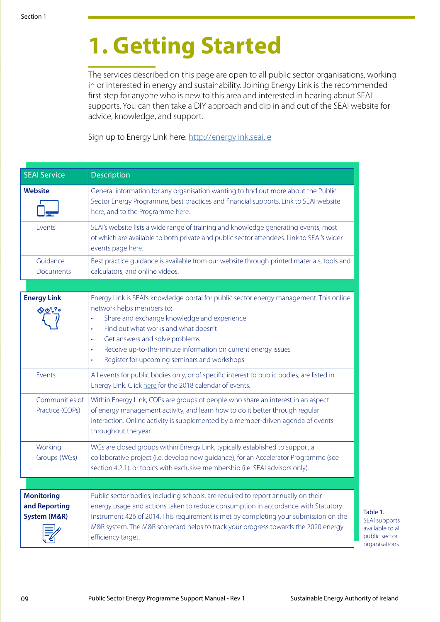# **1. Getting Started**

The services described on this page are open to all public sector organisations, working in or interested in energy and sustainability. Joining Energy Link is the recommended first step for anyone who is new to this area and interested in hearing about SEAI supports. You can then take a DIY approach and dip in and out of the SEAI website for advice, knowledge, and support.

Sign up to Energy Link here: [http://energylink.seai.ie](http://energylink.seai.ie/user/login)

| <b>SEAI Service</b>                                           | Description                                                                                                                                                                                                                                                                                                                                                                                                                                |
|---------------------------------------------------------------|--------------------------------------------------------------------------------------------------------------------------------------------------------------------------------------------------------------------------------------------------------------------------------------------------------------------------------------------------------------------------------------------------------------------------------------------|
| <b>Website</b>                                                | General information for any organisation wanting to find out more about the Public<br>Sector Energy Programme, best practices and financial supports. Link to SEAI website<br>here, and to the Programme here.                                                                                                                                                                                                                             |
| Events                                                        | SEAI's website lists a wide range of training and knowledge generating events, most<br>of which are available to both private and public sector attendees. Link to SEAI's wider<br>events page here.                                                                                                                                                                                                                                       |
| Guidance<br>Documents                                         | Best practice guidance is available from our website through printed materials, tools and<br>calculators, and online videos.                                                                                                                                                                                                                                                                                                               |
|                                                               |                                                                                                                                                                                                                                                                                                                                                                                                                                            |
| <b>Energy Link</b><br>$\Diamond 01$ ? .                       | Energy Link is SEAI's knowledge portal for public sector energy management. This online<br>network helps members to:<br>Share and exchange knowledge and experience<br>$\ddot{\phantom{0}}$<br>Find out what works and what doesn't<br>$\bullet$<br>Get answers and solve problems<br>$\bullet$<br>Receive up-to-the-minute information on current energy issues<br>$\bullet$<br>Register for upcoming seminars and workshops<br>$\bullet$ |
| Events                                                        | All events for public bodies only, or of specific interest to public bodies, are listed in<br>Energy Link. Click here for the 2018 calendar of events.                                                                                                                                                                                                                                                                                     |
| Communities of<br>Practice (COPs)                             | Within Energy Link, COPs are groups of people who share an interest in an aspect<br>of energy management activity, and learn how to do it better through regular<br>interaction. Online activity is supplemented by a member-driven agenda of events<br>throughout the year.                                                                                                                                                               |
| Working<br>Groups (WGs)                                       | WGs are closed groups within Energy Link, typically established to support a<br>collaborative project (i.e. develop new guidance), for an Accelerator Programme (see<br>section 4.2.1), or topics with exclusive membership (i.e. SEAI advisors only).                                                                                                                                                                                     |
|                                                               |                                                                                                                                                                                                                                                                                                                                                                                                                                            |
| <b>Monitoring</b><br>and Reporting<br><b>System (M&amp;R)</b> | Public sector bodies, including schools, are required to report annually on their<br>energy usage and actions taken to reduce consumption in accordance with Statutory<br>Instrument 426 of 2014. This requirement is met by completing your submission on the<br>M&R system. The M&R scorecard helps to track your progress towards the 2020 energy<br>efficiency target.                                                                 |

Table 1. SEAI supports available to all public sector organisations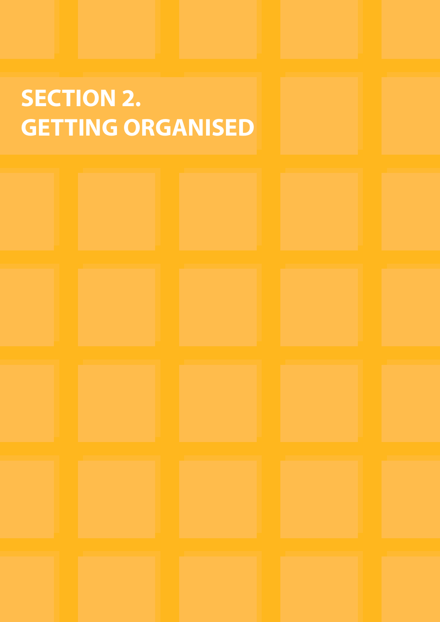# <span id="page-11-0"></span>**SECTION 2. GETTING ORGANISED**

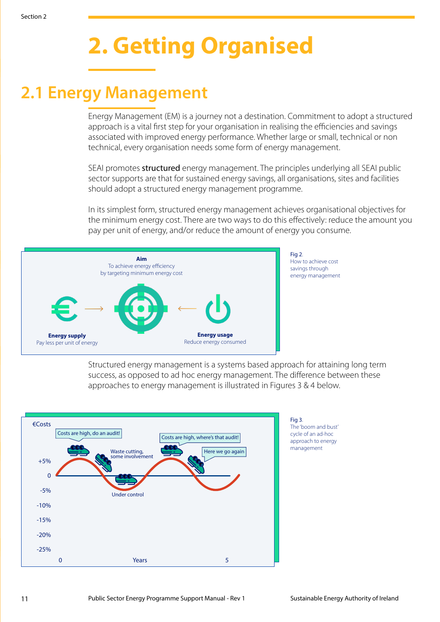# **2. Getting Organised**

## <span id="page-12-0"></span>**2.1 Energy Management**

Energy Management (EM) is a journey not a destination. Commitment to adopt a structured approach is a vital first step for your organisation in realising the efficiencies and savings associated with improved energy performance. Whether large or small, technical or non technical, every organisation needs some form of energy management.

SEAI promotes structured energy management. The principles underlying all SEAI public sector supports are that for sustained energy savings, all organisations, sites and facilities should adopt a structured energy management programme.

In its simplest form, structured energy management achieves organisational objectives for the minimum energy cost. There are two ways to do this effectively: reduce the amount you pay per unit of energy, and/or reduce the amount of energy you consume.



Structured energy management is a systems based approach for attaining long term success, as opposed to ad hoc energy management. The difference between these approaches to energy management is illustrated in Figures 3 & 4 below.

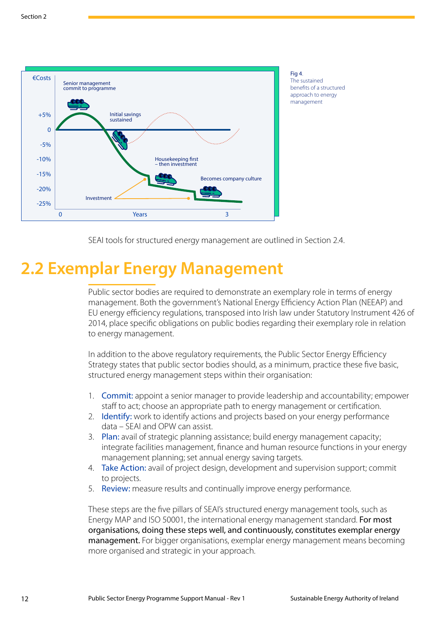<span id="page-13-0"></span>

Fig 4 The sustained benefits of a structured approach to energy management

SEAI tools for structured energy management are outlined in Section 2.4.

## **2.2 Exemplar Energy Management**

Public sector bodies are required to demonstrate an exemplary role in terms of energy management. Both the government's National Energy Efficiency Action Plan (NEEAP) and EU energy efficiency regulations, transposed into Irish law under Statutory Instrument 426 of 2014, place specific obligations on public bodies regarding their exemplary role in relation to energy management.

In addition to the above regulatory requirements, the Public Sector Energy Efficiency Strategy states that public sector bodies should, as a minimum, practice these five basic, structured energy management steps within their organisation:

- 1. Commit: appoint a senior manager to provide leadership and accountability; empower staff to act; choose an appropriate path to energy management or certification.
- 2. Identify: work to identify actions and projects based on your energy performance data – SEAI and OPW can assist.
- 3. Plan: avail of strategic planning assistance; build energy management capacity; integrate facilities management, finance and human resource functions in your energy management planning; set annual energy saving targets.
- 4. Take Action: avail of project design, development and supervision support; commit to projects.
- 5. Review: measure results and continually improve energy performance.

These steps are the five pillars of SEAI's structured energy management tools, such as Energy MAP and ISO 50001, the international energy management standard. For most organisations, doing these steps well, and continuously, constitutes exemplar energy management. For bigger organisations, exemplar energy management means becoming more organised and strategic in your approach.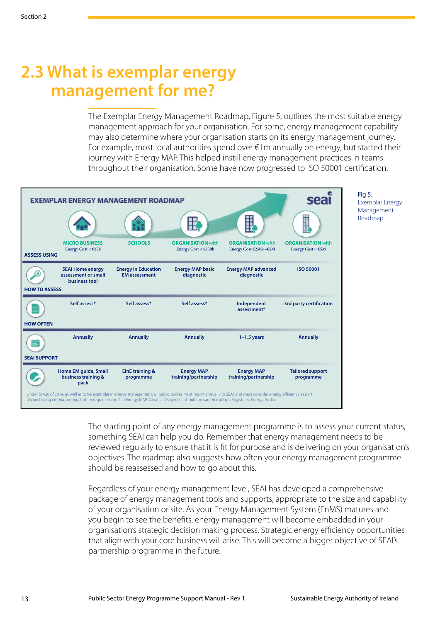## <span id="page-14-0"></span>**2.3 What is exemplar energy management for me?**

The Exemplar Energy Management Roadmap, Figure 5, outlines the most suitable energy management approach for your organisation. For some, energy management capability may also determine where your organisation starts on its energy management journey. For example, most local authorities spend over  $\epsilon$ 1m annually on energy, but started their journey with Energy MAP. This helped instill energy management practices in teams throughout their organisation. Some have now progressed to ISO 50001 certification.



Fig 5. Exemplar Energy Management Roadmap

The starting point of any energy management programme is to assess your current status, something SEAI can help you do. Remember that energy management needs to be reviewed regularly to ensure that it is fit for purpose and is delivering on your organisation's objectives. The roadmap also suggests how often your energy management programme should be reassessed and how to go about this.

Regardless of your energy management level, SEAI has developed a comprehensive package of energy management tools and supports, appropriate to the size and capability of your organisation or site. As your Energy Management System (EnMS) matures and you begin to see the benefits, energy management will become embedded in your organisation's strategic decision making process. Strategic energy efficiency opportunities that align with your core business will arise. This will become a bigger objective of SEAI's partnership programme in the future.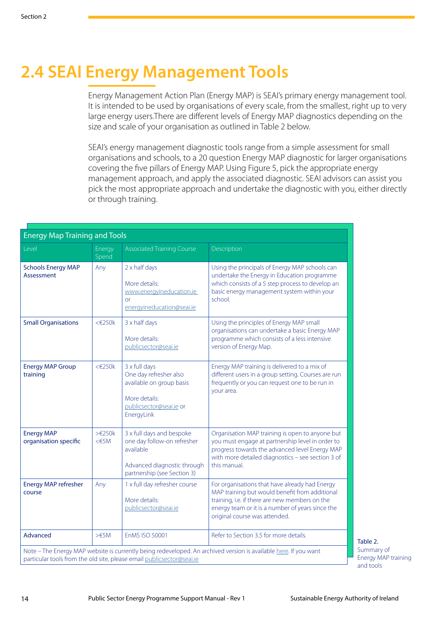## <span id="page-15-0"></span>**2.4 SEAI Energy Management Tools**

Energy Management Action Plan (Energy MAP) is SEAI's primary energy management tool. It is intended to be used by organisations of every scale, from the smallest, right up to very large energy users.There are different levels of Energy MAP diagnostics depending on the size and scale of your organisation as outlined in Table 2 below.

SEAI's energy management diagnostic tools range from a simple assessment for small organisations and schools, to a 20 question Energy MAP diagnostic for larger organisations covering the five pillars of Energy MAP. Using Figure 5, pick the appropriate energy management approach, and apply the associated diagnostic. SEAI advisors can assist you pick the most appropriate approach and undertake the diagnostic with you, either directly or through training.

|                                            | <b>Energy Map Training and Tools</b> |                                                                                                                                     |                                                                                                                                                                                                                                         |  |  |  |
|--------------------------------------------|--------------------------------------|-------------------------------------------------------------------------------------------------------------------------------------|-----------------------------------------------------------------------------------------------------------------------------------------------------------------------------------------------------------------------------------------|--|--|--|
| Level                                      | Energy<br>Spend                      | <b>Associated Training Course</b>                                                                                                   | Description                                                                                                                                                                                                                             |  |  |  |
| <b>Schools Energy MAP</b><br>Assessment    | Any                                  | 2 x half days<br>More details:<br>www.energyineducation.ie<br><b>or</b><br>energyineducation@seai.ie                                | Using the principals of Energy MAP schools can<br>undertake the Energy in Education programme<br>which consists of a 5 step process to develop an<br>basic energy management system within your<br>school.                              |  |  |  |
| <b>Small Organisations</b>                 | $<\epsilon$ 250 $k$                  | 3 x half days<br>More details:<br>publicsector@seai.ie                                                                              | Using the principles of Energy MAP small<br>organisations can undertake a basic Energy MAP<br>programme which consists of a less intensive<br>version of Energy Map.                                                                    |  |  |  |
| <b>Energy MAP Group</b><br>training        | $<\epsilon$ 250 $k$                  | 3 x full days<br>One day refresher also<br>available on group basis<br>More details:<br>publicsector@seai.ie or<br>EnergyLink       | Energy MAP training is delivered to a mix of<br>different users in a group setting. Courses are run<br>frequently or you can request one to be run in<br>your area.                                                                     |  |  |  |
| <b>Energy MAP</b><br>organisation specific | >E250k<br>$<\in$ 5M                  | 3 x full days and bespoke<br>one day follow-on refresher<br>available<br>Advanced diagnostic through<br>partnership (see Section 3) | Organisation MAP training is open to anyone but<br>you must engage at partnership level in order to<br>progress towards the advanced level Energy MAP<br>with more detailed diagnostics - see section 3 of<br>this manual.              |  |  |  |
| <b>Energy MAP refresher</b><br>course      | Any                                  | 1 x full day refresher course<br>More details:<br>publicsector@seai.ie                                                              | For organisations that have already had Energy<br>MAP training but would benefit from additional<br>training, i.e. if there are new members on the<br>energy team or it is a number of years since the<br>original course was attended. |  |  |  |
| Advanced                                   | $> \in 5M$                           | EnMS ISO 50001                                                                                                                      | Refer to Section 3.5 for more details.                                                                                                                                                                                                  |  |  |  |
|                                            |                                      | particular tools from the old site, please email publicsector@seai.ie                                                               | Note - The Energy MAP website is currently being redeveloped. An archived version is available here. If you want                                                                                                                        |  |  |  |

Table 2. Summary of Energy MAP training and tools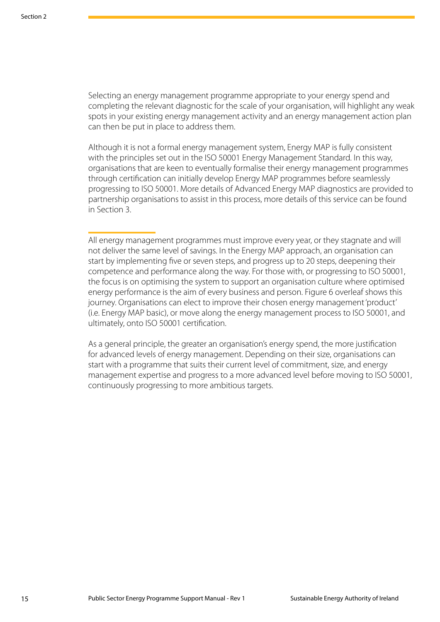Selecting an energy management programme appropriate to your energy spend and completing the relevant diagnostic for the scale of your organisation, will highlight any weak spots in your existing energy management activity and an energy management action plan can then be put in place to address them.

Although it is not a formal energy management system, Energy MAP is fully consistent with the principles set out in the ISO 50001 Energy Management Standard. In this way, organisations that are keen to eventually formalise their energy management programmes through certification can initially develop Energy MAP programmes before seamlessly progressing to ISO 50001. More details of Advanced Energy MAP diagnostics are provided to partnership organisations to assist in this process, more details of this service can be found in Section 3.

All energy management programmes must improve every year, or they stagnate and will not deliver the same level of savings. In the Energy MAP approach, an organisation can start by implementing five or seven steps, and progress up to 20 steps, deepening their competence and performance along the way. For those with, or progressing to ISO 50001, the focus is on optimising the system to support an organisation culture where optimised energy performance is the aim of every business and person. Figure 6 overleaf shows this journey. Organisations can elect to improve their chosen energy management 'product' (i.e. Energy MAP basic), or move along the energy management process to ISO 50001, and ultimately, onto ISO 50001 certification.

As a general principle, the greater an organisation's energy spend, the more justification for advanced levels of energy management. Depending on their size, organisations can start with a programme that suits their current level of commitment, size, and energy management expertise and progress to a more advanced level before moving to ISO 50001, continuously progressing to more ambitious targets.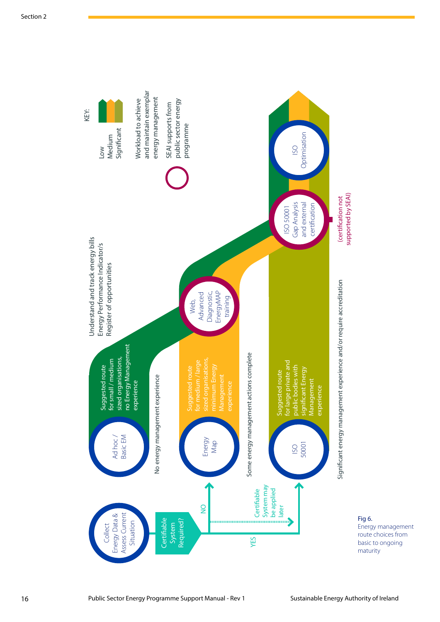

Fig 6. Energy management route choices from basic to ongoing maturity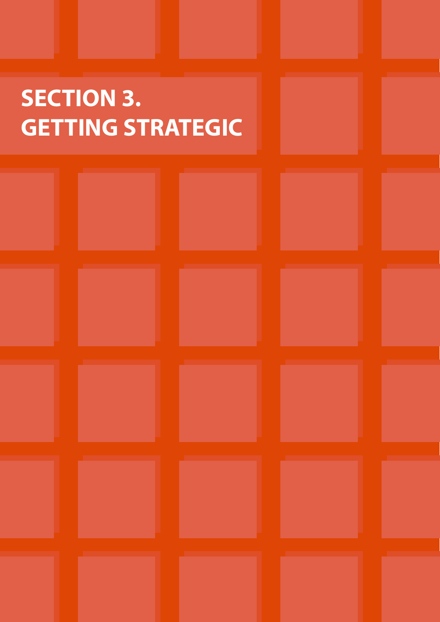# <span id="page-18-0"></span>**SECTION 3. GETTING STRATEGIC**

|                             | the control of the control of the control of the control of                | the control of the control of the control of the control of the | and the control of the control of the control of the control of the control of |                 |
|-----------------------------|----------------------------------------------------------------------------|-----------------------------------------------------------------|--------------------------------------------------------------------------------|-----------------|
|                             |                                                                            |                                                                 |                                                                                |                 |
|                             |                                                                            |                                                                 |                                                                                |                 |
|                             | the control of the control of the control of the control of the control of |                                                                 | and the control of the control of the                                          |                 |
| <u> Andrew Maria (1986)</u> | the contract of the contract of the con-                                   | ________                                                        | the control of the control of the con-                                         | ______<br>_____ |
|                             |                                                                            |                                                                 |                                                                                |                 |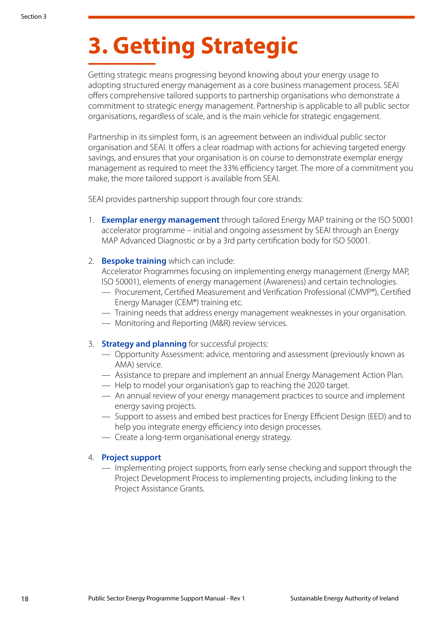# **3. Getting Strategic**

Getting strategic means progressing beyond knowing about your energy usage to adopting structured energy management as a core business management process. SEAI offers comprehensive tailored supports to partnership organisations who demonstrate a commitment to strategic energy management. Partnership is applicable to all public sector organisations, regardless of scale, and is the main vehicle for strategic engagement.

Partnership in its simplest form, is an agreement between an individual public sector organisation and SEAI. It offers a clear roadmap with actions for achieving targeted energy savings, and ensures that your organisation is on course to demonstrate exemplar energy management as required to meet the 33% efficiency target. The more of a commitment you make, the more tailored support is available from SEAI.

SEAI provides partnership support through four core strands:

- 1. **Exemplar energy management** through tailored Energy MAP training or the ISO 50001 accelerator programme – initial and ongoing assessment by SEAI through an Energy MAP Advanced Diagnostic or by a 3rd party certification body for ISO 50001.
- 2. **Bespoke training** which can include:

Accelerator Programmes focusing on implementing energy management (Energy MAP, ISO 50001), elements of energy management (Awareness) and certain technologies.

- Procurement, Certified Measurement and Verification Professional (CMVP®), Certified Energy Manager (CEM®) training etc.
- Training needs that address energy management weaknesses in your organisation.
- Monitoring and Reporting (M&R) review services.
- 3. **Strategy and planning** for successful projects:
	- Opportunity Assessment: advice, mentoring and assessment (previously known as AMA) service.
	- Assistance to prepare and implement an annual Energy Management Action Plan.
	- Help to model your organisation's gap to reaching the 2020 target.
	- An annual review of your energy management practices to source and implement energy saving projects.
	- Support to assess and embed best practices for Energy Efficient Design (EED) and to help you integrate energy efficiency into design processes.
	- Create a long-term organisational energy strategy.

#### 4. **Project support**

— Implementing project supports, from early sense checking and support through the Project Development Process to implementing projects, including linking to the Project Assistance Grants.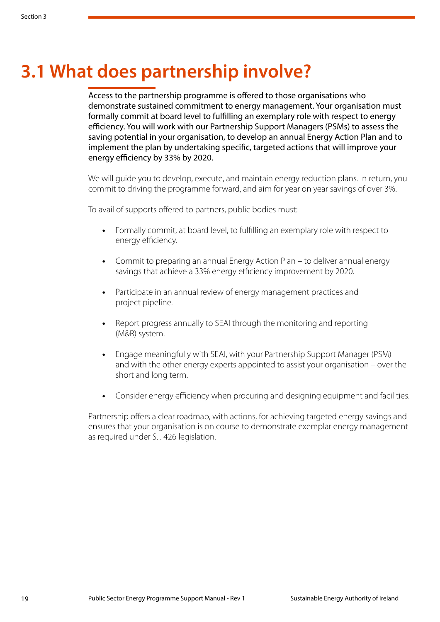## <span id="page-20-0"></span>**3.1 What does partnership involve?**

Access to the partnership programme is offered to those organisations who demonstrate sustained commitment to energy management. Your organisation must formally commit at board level to fulfilling an exemplary role with respect to energy efficiency. You will work with our Partnership Support Managers (PSMs) to assess the saving potential in your organisation, to develop an annual Energy Action Plan and to implement the plan by undertaking specific, targeted actions that will improve your energy efficiency by 33% by 2020.

We will guide you to develop, execute, and maintain energy reduction plans. In return, you commit to driving the programme forward, and aim for year on year savings of over 3%.

To avail of supports offered to partners, public bodies must:

- **•** Formally commit, at board level, to fulfilling an exemplary role with respect to energy efficiency.
- **•** Commit to preparing an annual Energy Action Plan to deliver annual energy savings that achieve a 33% energy efficiency improvement by 2020.
- **•** Participate in an annual review of energy management practices and project pipeline.
- **•** Report progress annually to SEAI through the monitoring and reporting (M&R) system.
- **•** Engage meaningfully with SEAI, with your Partnership Support Manager (PSM) and with the other energy experts appointed to assist your organisation – over the short and long term.
- **•** Consider energy efficiency when procuring and designing equipment and facilities.

Partnership offers a clear roadmap, with actions, for achieving targeted energy savings and ensures that your organisation is on course to demonstrate exemplar energy management as required under S.I. 426 legislation.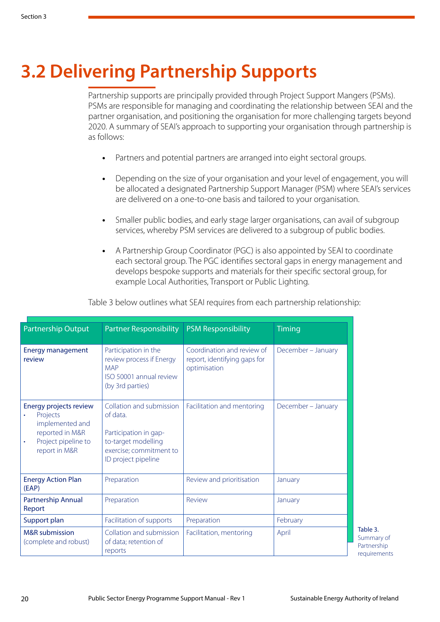# <span id="page-21-0"></span>**3.2 Delivering Partnership Supports**

Partnership supports are principally provided through Project Support Mangers (PSMs). PSMs are responsible for managing and coordinating the relationship between SEAI and the partner organisation, and positioning the organisation for more challenging targets beyond 2020. A summary of SEAI's approach to supporting your organisation through partnership is as follows:

- **•** Partners and potential partners are arranged into eight sectoral groups.
- **•** Depending on the size of your organisation and your level of engagement, you will be allocated a designated Partnership Support Manager (PSM) where SEAI's services are delivered on a one-to-one basis and tailored to your organisation.
- **•** Smaller public bodies, and early stage larger organisations, can avail of subgroup services, whereby PSM services are delivered to a subgroup of public bodies.
- **•** A Partnership Group Coordinator (PGC) is also appointed by SEAI to coordinate each sectoral group. The PGC identifies sectoral gaps in energy management and develops bespoke supports and materials for their specific sectoral group, for example Local Authorities, Transport or Public Lighting.

| Partnership Output                                                                                                                 | <b>Partner Responsibility</b>                                                                                                          | <b>PSM Responsibility</b>                                                  | <b>Timing</b>      |
|------------------------------------------------------------------------------------------------------------------------------------|----------------------------------------------------------------------------------------------------------------------------------------|----------------------------------------------------------------------------|--------------------|
| <b>Energy management</b><br>review                                                                                                 | Participation in the<br>review process if Energy<br><b>MAP</b><br>ISO 50001 annual review<br>(by 3rd parties)                          | Coordination and review of<br>report, identifying gaps for<br>optimisation | December - January |
| Energy projects review<br>Projects<br>۰<br>implemented and<br>reported in M&R<br>Project pipeline to<br>$\bullet$<br>report in M&R | Collation and submission<br>of data.<br>Participation in gap-<br>to-target modelling<br>exercise; commitment to<br>ID project pipeline | Facilitation and mentoring                                                 | December - January |
| <b>Energy Action Plan</b><br>(EAP)                                                                                                 | Preparation                                                                                                                            | Review and prioritisation                                                  | January            |
| Partnership Annual<br>Report                                                                                                       | Preparation                                                                                                                            | Review                                                                     | January            |
| Support plan                                                                                                                       | Facilitation of supports                                                                                                               | Preparation                                                                | February           |
| <b>M&amp;R</b> submission<br>(complete and robust)                                                                                 | Collation and submission<br>of data; retention of<br>reports                                                                           | Facilitation, mentoring                                                    | April              |

Table 3 below outlines what SEAI requires from each partnership relationship:

Summary of Partnership requirements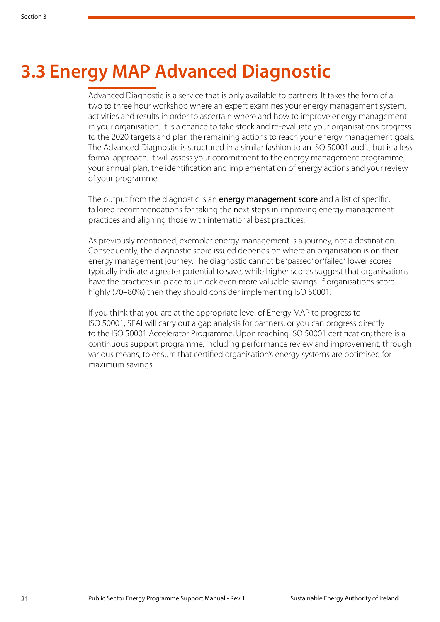# <span id="page-22-0"></span>**3.3 Energy MAP Advanced Diagnostic**

Advanced Diagnostic is a service that is only available to partners. It takes the form of a two to three hour workshop where an expert examines your energy management system, activities and results in order to ascertain where and how to improve energy management in your organisation. It is a chance to take stock and re-evaluate your organisations progress to the 2020 targets and plan the remaining actions to reach your energy management goals. The Advanced Diagnostic is structured in a similar fashion to an ISO 50001 audit, but is a less formal approach. It will assess your commitment to the energy management programme, your annual plan, the identification and implementation of energy actions and your review of your programme.

The output from the diagnostic is an energy management score and a list of specific, tailored recommendations for taking the next steps in improving energy management practices and aligning those with international best practices.

As previously mentioned, exemplar energy management is a journey, not a destination. Consequently, the diagnostic score issued depends on where an organisation is on their energy management journey. The diagnostic cannot be 'passed' or 'failed', lower scores typically indicate a greater potential to save, while higher scores suggest that organisations have the practices in place to unlock even more valuable savings. If organisations score highly (70–80%) then they should consider implementing ISO 50001.

If you think that you are at the appropriate level of Energy MAP to progress to ISO 50001, SEAI will carry out a gap analysis for partners, or you can progress directly to the ISO 50001 Accelerator Programme. Upon reaching ISO 50001 certification; there is a continuous support programme, including performance review and improvement, through various means, to ensure that certified organisation's energy systems are optimised for maximum savings.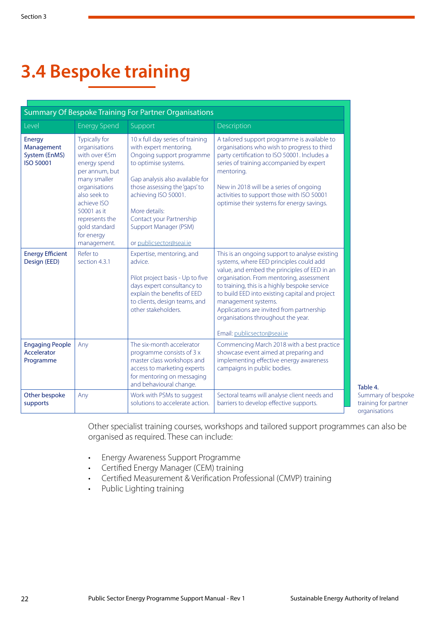# <span id="page-23-0"></span>**3.4 Bespoke training**

| Summary Of Bespoke Training For Partner Organisations            |                                                                                                                                                                                                                                         |                                                                                                                                                                                                                                                                                                              |                                                                                                                                                                                                                                                                                                                                                                                                                                   |  |  |
|------------------------------------------------------------------|-----------------------------------------------------------------------------------------------------------------------------------------------------------------------------------------------------------------------------------------|--------------------------------------------------------------------------------------------------------------------------------------------------------------------------------------------------------------------------------------------------------------------------------------------------------------|-----------------------------------------------------------------------------------------------------------------------------------------------------------------------------------------------------------------------------------------------------------------------------------------------------------------------------------------------------------------------------------------------------------------------------------|--|--|
| Level                                                            | <b>Energy Spend</b>                                                                                                                                                                                                                     | Support                                                                                                                                                                                                                                                                                                      | Description                                                                                                                                                                                                                                                                                                                                                                                                                       |  |  |
| <b>Energy</b><br>Management<br>System (EnMS)<br><b>ISO 50001</b> | <b>Typically for</b><br>organisations<br>with over €5m<br>energy spend<br>per annum, but<br>many smaller<br>organisations<br>also seek to<br>achieve ISO<br>50001 as it<br>represents the<br>gold standard<br>for energy<br>management. | 10 x full day series of training<br>with expert mentoring.<br>Ongoing support programme<br>to optimise systems.<br>Gap analysis also available for<br>those assessing the 'gaps' to<br>achieving ISO 50001.<br>More details:<br>Contact your Partnership<br>Support Manager (PSM)<br>or publicsector@seai.ie | A tailored support programme is available to<br>organisations who wish to progress to third<br>party certification to ISO 50001. Includes a<br>series of training accompanied by expert<br>mentoring.<br>New in 2018 will be a series of ongoing<br>activities to support those with ISO 50001<br>optimise their systems for energy savings.                                                                                      |  |  |
| <b>Energy Efficient</b><br>Design (EED)                          | Refer to<br>section 4.3.1                                                                                                                                                                                                               | Expertise, mentoring, and<br>advice<br>Pilot project basis - Up to five<br>days expert consultancy to<br>explain the benefits of EED<br>to clients, design teams, and<br>other stakeholders.                                                                                                                 | This is an ongoing support to analyse existing<br>systems, where EED principles could add<br>value, and embed the principles of EED in an<br>organisation. From mentoring, assessment<br>to training, this is a highly bespoke service<br>to build EED into existing capital and project<br>management systems.<br>Applications are invited from partnership<br>organisations throughout the year.<br>Email: publicsector@seai.ie |  |  |
| <b>Engaging People</b><br>Accelerator<br>Programme               | Any                                                                                                                                                                                                                                     | The six-month accelerator<br>programme consists of 3 x<br>master class workshops and<br>access to marketing experts<br>for mentoring on messaging<br>and behavioural change.                                                                                                                                 | Commencing March 2018 with a best practice<br>showcase event aimed at preparing and<br>implementing effective energy awareness<br>campaigns in public bodies.                                                                                                                                                                                                                                                                     |  |  |
| Other bespoke<br>supports                                        | Any                                                                                                                                                                                                                                     | Work with PSMs to suggest<br>solutions to accelerate action.                                                                                                                                                                                                                                                 | Sectoral teams will analyse client needs and<br>barriers to develop effective supports.                                                                                                                                                                                                                                                                                                                                           |  |  |

Table 4. Summary of bespoke training for partner organisations

Other specialist training courses, workshops and tailored support programmes can also be organised as required. These can include:

- Energy Awareness Support Programme
- Certified Energy Manager (CEM) training
- Certified Measurement & Verification Professional (CMVP) training
- Public Lighting training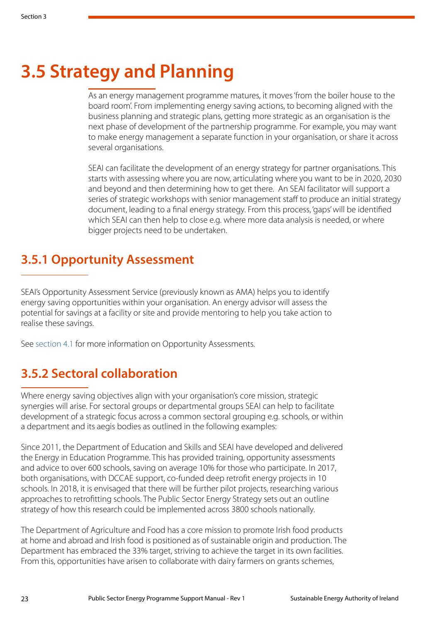## <span id="page-24-0"></span>**3.5 Strategy and Planning**

As an energy management programme matures, it moves 'from the boiler house to the board room'. From implementing energy saving actions, to becoming aligned with the business planning and strategic plans, getting more strategic as an organisation is the next phase of development of the partnership programme. For example, you may want to make energy management a separate function in your organisation, or share it across several organisations.

SEAI can facilitate the development of an energy strategy for partner organisations. This starts with assessing where you are now, articulating where you want to be in 2020, 2030 and beyond and then determining how to get there. An SEAI facilitator will support a series of strategic workshops with senior management staff to produce an initial strategy document, leading to a final energy strategy. From this process, 'gaps' will be identified which SEAI can then help to close e.g. where more data analysis is needed, or where bigger projects need to be undertaken.

### **3.5.1 Opportunity Assessment**

SEAI's Opportunity Assessment Service (previously known as AMA) helps you to identify energy saving opportunities within your organisation. An energy advisor will assess the potential for savings at a facility or site and provide mentoring to help you take action to realise these savings.

See [section 4.1](#page-30-0) for more information on Opportunity Assessments.

### **3.5.2 Sectoral collaboration**

Where energy saving objectives align with your organisation's core mission, strategic synergies will arise. For sectoral groups or departmental groups SEAI can help to facilitate development of a strategic focus across a common sectoral grouping e.g. schools, or within a department and its aegis bodies as outlined in the following examples:

Since 2011, the Department of Education and Skills and SEAI have developed and delivered the Energy in Education Programme. This has provided training, opportunity assessments and advice to over 600 schools, saving on average 10% for those who participate. In 2017, both organisations, with DCCAE support, co-funded deep retrofit energy projects in 10 schools. In 2018, it is envisaged that there will be further pilot projects, researching various approaches to retrofitting schools. The Public Sector Energy Strategy sets out an outline strategy of how this research could be implemented across 3800 schools nationally.

The Department of Agriculture and Food has a core mission to promote Irish food products at home and abroad and Irish food is positioned as of sustainable origin and production. The Department has embraced the 33% target, striving to achieve the target in its own facilities. From this, opportunities have arisen to collaborate with dairy farmers on grants schemes,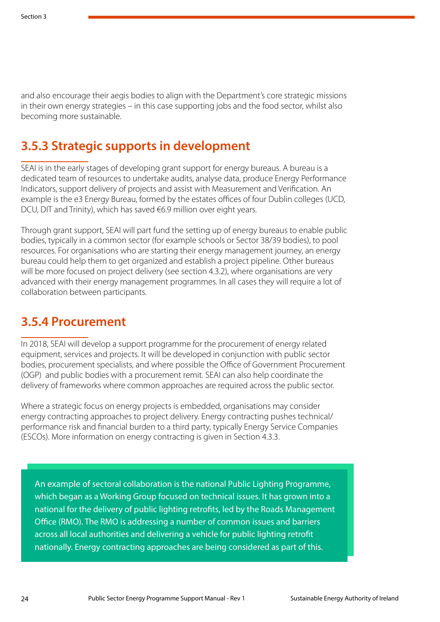and also encourage their aegis bodies to align with the Department's core strategic missions in their own energy strategies – in this case supporting jobs and the food sector, whilst also becoming more sustainable.

### **3.5.3 Strategic supports in development**

SEAI is in the early stages of developing grant support for energy bureaus. A bureau is a dedicated team of resources to undertake audits, analyse data, produce Energy Performance Indicators, support delivery of projects and assist with Measurement and Verification. An example is the e3 Energy Bureau, formed by the estates offices of four Dublin colleges (UCD, DCU, DIT and Trinity), which has saved €6.9 million over eight years.

Through grant support, SEAI will part fund the setting up of energy bureaus to enable public bodies, typically in a common sector (for example schools or Sector 38/39 bodies), to pool resources. For organisations who are starting their energy management journey, an energy bureau could help them to get organized and establish a project pipeline. Other bureaus will be more focused on project delivery (see section 4.3.2), where organisations are very advanced with their energy management programmes. In all cases they will require a lot of collaboration between participants.

### **3.5.4 Procurement**

In 2018, SEAI will develop a support programme for the procurement of energy related equipment, services and projects. It will be developed in conjunction with public sector bodies, procurement specialists, and where possible the Office of Government Procurement (OGP) and public bodies with a procurement remit. SEAI can also help coordinate the delivery of frameworks where common approaches are required across the public sector.

Where a strategic focus on energy projects is embedded, organisations may consider energy contracting approaches to project delivery. Energy contracting pushes technical/ performance risk and financial burden to a third party, typically Energy Service Companies (ESCOs). More information on energy contracting is given in Section 4.3.3.

An example of sectoral collaboration is the national Public Lighting Programme, which began as a Working Group focused on technical issues. It has grown into a national for the delivery of public lighting retrofits, led by the Roads Management Office (RMO). The RMO is addressing a number of common issues and barriers across all local authorities and delivering a vehicle for public lighting retrofit nationally. Energy contracting approaches are being considered as part of this.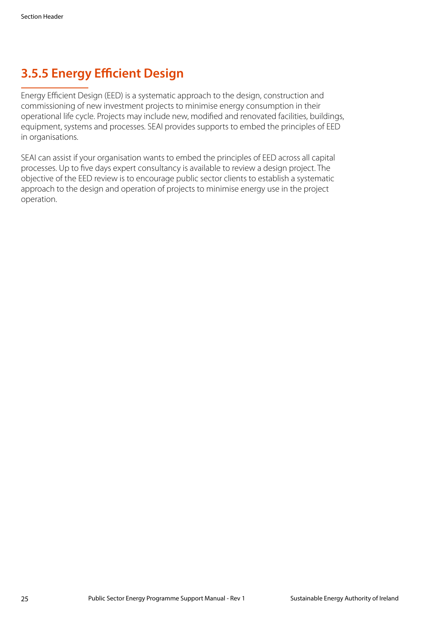## **3.5.5 Energy Efficient Design**

Energy Efficient Design (EED) is a systematic approach to the design, construction and commissioning of new investment projects to minimise energy consumption in their operational life cycle. Projects may include new, modified and renovated facilities, buildings, equipment, systems and processes. SEAI provides supports to embed the principles of EED in organisations.

SEAI can assist if your organisation wants to embed the principles of EED across all capital processes. Up to five days expert consultancy is available to review a design project. The objective of the EED review is to encourage public sector clients to establish a systematic approach to the design and operation of projects to minimise energy use in the project operation.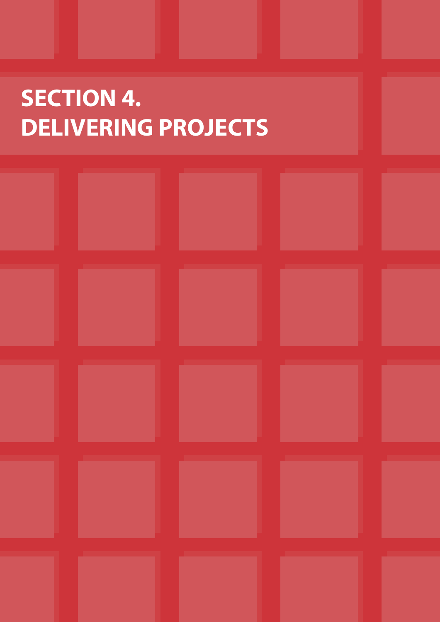# <span id="page-27-0"></span>**SECTION 4. DELIVERING PROJECTS**

| <b>Contract</b> | <b>Contract</b> | <b>Contract Contract</b> |  |
|-----------------|-----------------|--------------------------|--|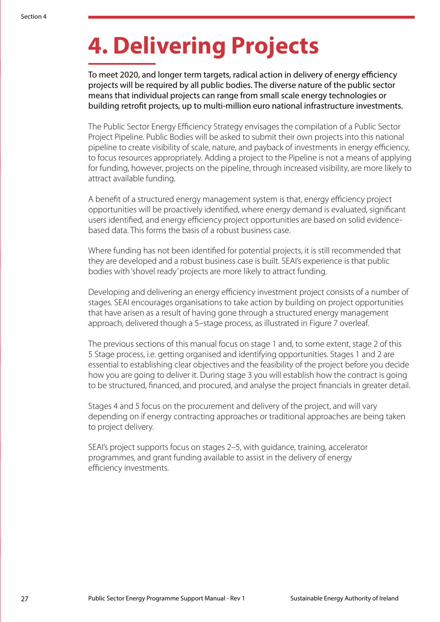# **4. Delivering Projects**

To meet 2020, and longer term targets, radical action in delivery of energy efficiency projects will be required by all public bodies. The diverse nature of the public sector means that individual projects can range from small scale energy technologies or building retrofit projects, up to multi-million euro national infrastructure investments.

The Public Sector Energy Efficiency Strategy envisages the compilation of a Public Sector Project Pipeline. Public Bodies will be asked to submit their own projects into this national pipeline to create visibility of scale, nature, and payback of investments in energy efficiency, to focus resources appropriately. Adding a project to the Pipeline is not a means of applying for funding, however, projects on the pipeline, through increased visibility, are more likely to attract available funding.

A benefit of a structured energy management system is that, energy efficiency project opportunities will be proactively identified, where energy demand is evaluated, significant users identified, and energy efficiency project opportunities are based on solid evidencebased data. This forms the basis of a robust business case.

Where funding has not been identified for potential projects, it is still recommended that they are developed and a robust business case is built. SEAI's experience is that public bodies with 'shovel ready' projects are more likely to attract funding.

Developing and delivering an energy efficiency investment project consists of a number of stages. SEAI encourages organisations to take action by building on project opportunities that have arisen as a result of having gone through a structured energy management approach, delivered though a 5–stage process, as illustrated in Figure 7 overleaf.

The previous sections of this manual focus on stage 1 and, to some extent, stage 2 of this 5 Stage process, i.e. getting organised and identifying opportunities. Stages 1 and 2 are essential to establishing clear objectives and the feasibility of the project before you decide how you are going to deliver it. During stage 3 you will establish how the contract is going to be structured, financed, and procured, and analyse the project financials in greater detail.

Stages 4 and 5 focus on the procurement and delivery of the project, and will vary depending on if energy contracting approaches or traditional approaches are being taken to project delivery.

SEAI's project supports focus on stages 2–5, with guidance, training, accelerator programmes, and grant funding available to assist in the delivery of energy efficiency investments.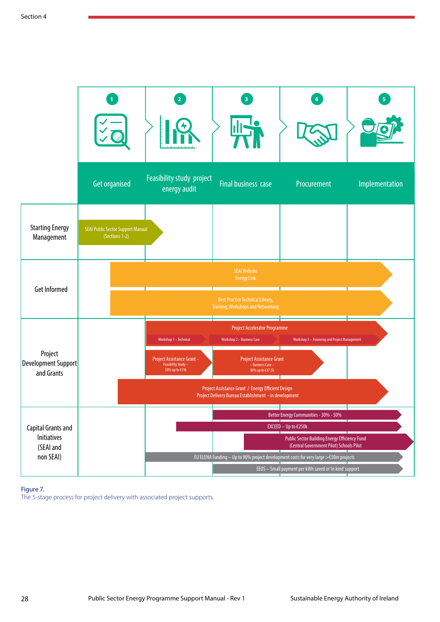|                                                                    | <b>Get organised</b>                                       | Feasibility study project<br>energy audit                                                    | <b>Final business case</b>                                                                                                                                                                                                                                     | Procurement                                                                                                                                                                                                           | Implementation |
|--------------------------------------------------------------------|------------------------------------------------------------|----------------------------------------------------------------------------------------------|----------------------------------------------------------------------------------------------------------------------------------------------------------------------------------------------------------------------------------------------------------------|-----------------------------------------------------------------------------------------------------------------------------------------------------------------------------------------------------------------------|----------------|
| <b>Starting Energy</b><br>Management                               | <b>SEAI Public Sector Support Manual</b><br>(Sections 1-2) |                                                                                              |                                                                                                                                                                                                                                                                |                                                                                                                                                                                                                       |                |
| <b>Get Informed</b>                                                |                                                            |                                                                                              | <b>SEAI Website</b><br><b>Energy Link</b><br><b>Best Practice Technical Library,</b><br>Training, Workshops and Networking                                                                                                                                     |                                                                                                                                                                                                                       |                |
| Project<br>Development Support<br>and Grants                       |                                                            | Workshop 1 - Technical<br>Project Assistance Grant-<br>Feasibility Study -<br>50% up to €15k | <b>Project Accelerator Programme</b><br>Workshop 2 - Business Case<br><b>Project Assistance Grant</b><br>- Business Case -<br>50% up to €37.5k<br>Project Assistance Grant / Energy Efficient Design<br>Project Delivery Bureau Establishment - in development | Workshop 3 - Financing and Project Management                                                                                                                                                                         |                |
| Capital Grants and<br><b>Initiatives</b><br>(SEAI and<br>non SEAI) |                                                            |                                                                                              | EU ELENA Funding - Up to 90% project development costs for very large >€30m projects                                                                                                                                                                           | Better Energy Communities - 30% - 50%<br>EXCEED - Up to €250k<br>Public Sector Building Energy Efficiency Fund<br>(Central Government Pilot) Schools Pilot<br>EEOS - Small payment per kWh saved or 'in kind' support |                |

#### Figure 7.

The 5-stage process for project delivery with associated project supports.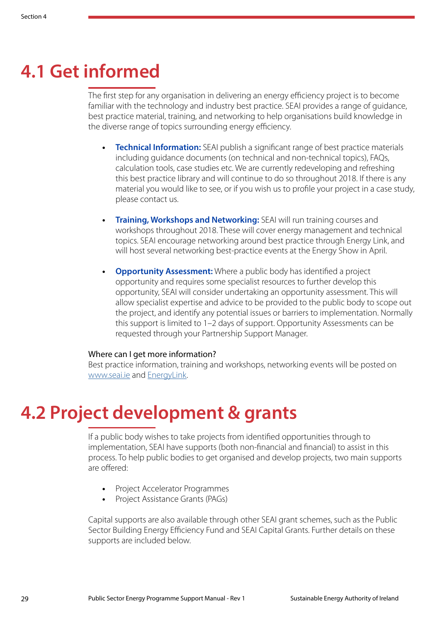## <span id="page-30-0"></span>**4.1 Get informed**

The first step for any organisation in delivering an energy efficiency project is to become familiar with the technology and industry best practice. SEAI provides a range of guidance, best practice material, training, and networking to help organisations build knowledge in the diverse range of topics surrounding energy efficiency.

- **• Technical Information:** SEAI publish a significant range of best practice materials including guidance documents (on technical and non-technical topics), FAQs, calculation tools, case studies etc. We are currently redeveloping and refreshing this best practice library and will continue to do so throughout 2018. If there is any material you would like to see, or if you wish us to profile your project in a case study, please contact us.
- **• Training, Workshops and Networking:** SEAI will run training courses and workshops throughout 2018. These will cover energy management and technical topics. SEAI encourage networking around best practice through Energy Link, and will host several networking best-practice events at the Energy Show in April.
- **<u>Opportunity Assessment:**</u> Where a public body has identified a project opportunity and requires some specialist resources to further develop this opportunity, SEAI will consider undertaking an opportunity assessment. This will allow specialist expertise and advice to be provided to the public body to scope out the project, and identify any potential issues or barriers to implementation. Normally this support is limited to 1–2 days of support. Opportunity Assessments can be requested through your Partnership Support Manager.

#### Where can I get more information?

Best practice information, training and workshops, networking events will be posted on <www.seai.ie> and [EnergyLink](http://energylink.seai.ie/user/login).

## **4.2 Project development & grants**

If a public body wishes to take projects from identified opportunities through to implementation, SEAI have supports (both non-financial and financial) to assist in this process. To help public bodies to get organised and develop projects, two main supports are offered:

- **•** Project Accelerator Programmes
- **•** Project Assistance Grants (PAGs)

Capital supports are also available through other SEAI grant schemes, such as the Public Sector Building Energy Efficiency Fund and SEAI Capital Grants. Further details on these supports are included below.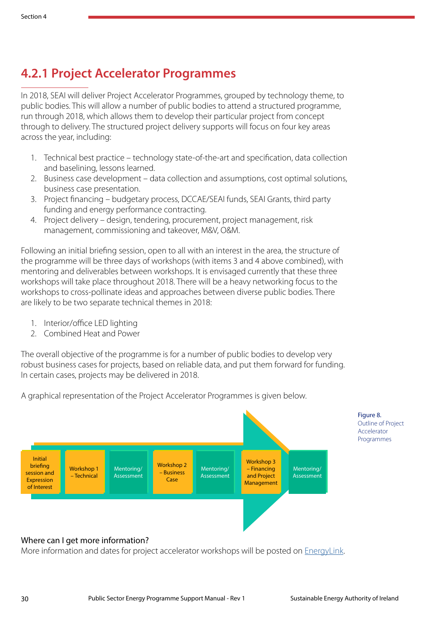### **4.2.1 Project Accelerator Programmes**

In 2018, SEAI will deliver Project Accelerator Programmes, grouped by technology theme, to public bodies. This will allow a number of public bodies to attend a structured programme, run through 2018, which allows them to develop their particular project from concept through to delivery. The structured project delivery supports will focus on four key areas across the year, including:

- 1. Technical best practice technology state-of-the-art and specification, data collection and baselining, lessons learned.
- 2. Business case development data collection and assumptions, cost optimal solutions, business case presentation.
- 3. Project financing budgetary process, DCCAE/SEAI funds, SEAI Grants, third party funding and energy performance contracting.
- 4. Project delivery design, tendering, procurement, project management, risk management, commissioning and takeover, M&V, O&M.

Following an initial briefing session, open to all with an interest in the area, the structure of the programme will be three days of workshops (with items 3 and 4 above combined), with mentoring and deliverables between workshops. It is envisaged currently that these three workshops will take place throughout 2018. There will be a heavy networking focus to the workshops to cross-pollinate ideas and approaches between diverse public bodies. There are likely to be two separate technical themes in 2018:

- 1. Interior/office LED lighting
- 2. Combined Heat and Power

The overall objective of the programme is for a number of public bodies to develop very robust business cases for projects, based on reliable data, and put them forward for funding. In certain cases, projects may be delivered in 2018.

A graphical representation of the Project Accelerator Programmes is given below.



More information and dates for project accelerator workshops will be posted on [EnergyLink.](http://energylink.seai.ie/user/login)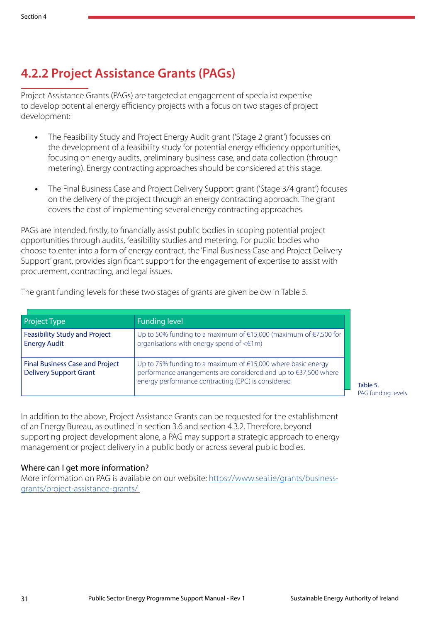## **4.2.2 Project Assistance Grants (PAGs)**

Project Assistance Grants (PAGs) are targeted at engagement of specialist expertise to develop potential energy efficiency projects with a focus on two stages of project development:

- **•** The Feasibility Study and Project Energy Audit grant ('Stage 2 grant') focusses on the development of a feasibility study for potential energy efficiency opportunities, focusing on energy audits, preliminary business case, and data collection (through metering). Energy contracting approaches should be considered at this stage.
- **•** The Final Business Case and Project Delivery Support grant ('Stage 3/4 grant') focuses on the delivery of the project through an energy contracting approach. The grant covers the cost of implementing several energy contracting approaches.

PAGs are intended, firstly, to financially assist public bodies in scoping potential project opportunities through audits, feasibility studies and metering. For public bodies who choose to enter into a form of energy contract, the 'Final Business Case and Project Delivery Support' grant, provides significant support for the engagement of expertise to assist with procurement, contracting, and legal issues.

The grant funding levels for these two stages of grants are given below in Table 5.

| <b>Project Type</b>                                                     | <b>Funding level</b>                                                                                                                                                                  |
|-------------------------------------------------------------------------|---------------------------------------------------------------------------------------------------------------------------------------------------------------------------------------|
| <b>Feasibility Study and Project</b><br><b>Energy Audit</b>             | Up to 50% funding to a maximum of $\in$ 15,000 (maximum of $\in$ 7,500 for<br>organisations with energy spend of $\leq \text{fm}$ )                                                   |
| <b>Final Business Case and Project</b><br><b>Delivery Support Grant</b> | Up to 75% funding to a maximum of €15,000 where basic energy<br>performance arrangements are considered and up to €37,500 where<br>energy performance contracting (EPC) is considered |

PAG funding levels

In addition to the above, Project Assistance Grants can be requested for the establishment of an Energy Bureau, as outlined in section 3.6 and section 4.3.2. Therefore, beyond supporting project development alone, a PAG may support a strategic approach to energy management or project delivery in a public body or across several public bodies.

#### Where can I get more information?

More information on PAG is available on our website: [https://www.seai.ie/grants/business](https://www.seai.ie/grants/business-grants/project-assistance-grants/)[grants/project-assistance-grants/](https://www.seai.ie/grants/business-grants/project-assistance-grants/)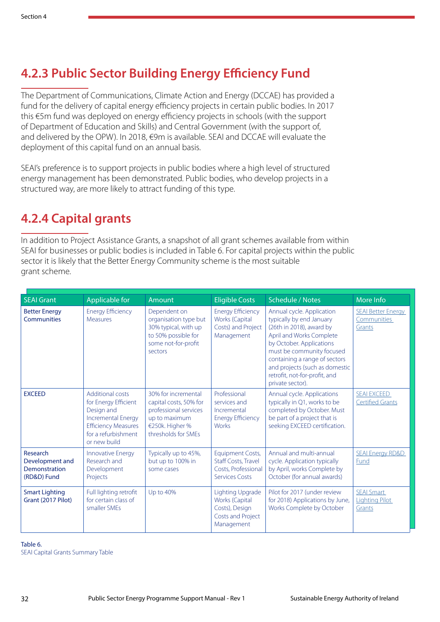## **4.2.3 Public Sector Building Energy Efficiency Fund**

The Department of Communications, Climate Action and Energy (DCCAE) has provided a fund for the delivery of capital energy efficiency projects in certain public bodies. In 2017 this €5m fund was deployed on energy efficiency projects in schools (with the support of Department of Education and Skills) and Central Government (with the support of, and delivered by the OPW). In 2018, €9m is available. SEAI and DCCAE will evaluate the deployment of this capital fund on an annual basis.

SEAI's preference is to support projects in public bodies where a high level of structured energy management has been demonstrated. Public bodies, who develop projects in a structured way, are more likely to attract funding of this type.

### **4.2.4 Capital grants**

In addition to Project Assistance Grants, a snapshot of all grant schemes available from within SEAI for businesses or public bodies is included in Table 6. For capital projects within the public sector it is likely that the Better Energy Community scheme is the most suitable grant scheme.

| <b>SEAI Grant</b>                                           | Applicable for                                                                                                                                           | Amount                                                                                                                            | <b>Eligible Costs</b>                                                                          | <b>Schedule / Notes</b>                                                                                                                                                                                                                                                                        | More Info                                                 |
|-------------------------------------------------------------|----------------------------------------------------------------------------------------------------------------------------------------------------------|-----------------------------------------------------------------------------------------------------------------------------------|------------------------------------------------------------------------------------------------|------------------------------------------------------------------------------------------------------------------------------------------------------------------------------------------------------------------------------------------------------------------------------------------------|-----------------------------------------------------------|
| <b>Better Energy</b><br><b>Communities</b>                  | <b>Energy Efficiency</b><br><b>Measures</b>                                                                                                              | Dependent on<br>organisation type but<br>30% typical, with up<br>to 50% possible for<br>some not-for-profit<br>sectors            | <b>Energy Efficiency</b><br>Works (Capital<br>Costs) and Project<br>Management                 | Annual cycle. Application<br>typically by end January<br>(26th in 2018), award by<br>April and Works Complete<br>by October. Applications<br>must be community focused<br>containing a range of sectors<br>and projects (such as domestic<br>retrofit, not-for-profit, and<br>private sector). | <b>SEAI Better Energy</b><br><b>Communities</b><br>Grants |
| <b>EXCEED</b>                                               | Additional costs<br>for Energy Efficient<br>Design and<br><b>Incremental Energy</b><br><b>Efficiency Measures</b><br>for a refurbishment<br>or new build | 30% for incremental<br>capital costs, 50% for<br>professional services<br>up to maximum<br>€250k. Higher %<br>thresholds for SMEs | Professional<br>services and<br>Incremental<br><b>Energy Efficiency</b><br><b>Works</b>        | Annual cycle. Applications<br>typically in Q1, works to be<br>completed by October. Must<br>be part of a project that is<br>seeking EXCEED certification.                                                                                                                                      | <b>SEAI EXCEED</b><br><b>Certified Grants</b>             |
| Research<br>Development and<br>Demonstration<br>(RD&D) Fund | Innovative Energy<br>Research and<br>Development<br>Projects                                                                                             | Typically up to 45%,<br>but up to 100% in<br>some cases                                                                           | <b>Equipment Costs,</b><br>Staff Costs, Travel<br>Costs, Professional<br><b>Services Costs</b> | Annual and multi-annual<br>cycle. Application typically<br>by April, works Complete by<br>October (for annual awards)                                                                                                                                                                          | <b>SEAI Energy RD&amp;D</b><br>Fund                       |
| <b>Smart Lighting</b><br>Grant (2017 Pilot)                 | Full lighting retrofit<br>for certain class of<br>smaller SMEs                                                                                           | Up to 40%                                                                                                                         | Lighting Upgrade<br>Works (Capital<br>Costs), Design<br>Costs and Project<br>Management        | Pilot for 2017 (under review<br>for 2018) Applications by June,<br>Works Complete by October                                                                                                                                                                                                   | <b>SEAI Smart</b><br><b>Lighting Pilot</b><br>Grants      |

Table 6. SEAI Capital Grants Summary Table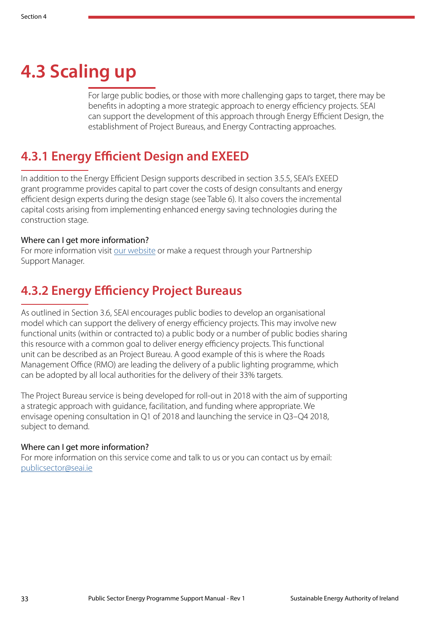# <span id="page-34-0"></span>**4.3 Scaling up**

For large public bodies, or those with more challenging gaps to target, there may be benefits in adopting a more strategic approach to energy efficiency projects. SEAI can support the development of this approach through Energy Efficient Design, the establishment of Project Bureaus, and Energy Contracting approaches.

### **4.3.1 Energy Efficient Design and EXEED**

In addition to the Energy Efficient Design supports described in section 3.5.5, SEAI's EXEED grant programme provides capital to part cover the costs of design consultants and energy efficient design experts during the design stage (see Table 6). It also covers the incremental capital costs arising from implementing enhanced energy saving technologies during the construction stage.

#### Where can I get more information?

For more information visit [our website](https://www.seai.ie/energy-in-business/training-and-standards/is-399-energy-efficient-design-management/) or make a request through your Partnership Support Manager.

### **4.3.2 Energy Efficiency Project Bureaus**

As outlined in Section 3.6, SEAI encourages public bodies to develop an organisational model which can support the delivery of energy efficiency projects. This may involve new functional units (within or contracted to) a public body or a number of public bodies sharing this resource with a common goal to deliver energy efficiency projects. This functional unit can be described as an Project Bureau. A good example of this is where the Roads Management Office (RMO) are leading the delivery of a public lighting programme, which can be adopted by all local authorities for the delivery of their 33% targets.

The Project Bureau service is being developed for roll-out in 2018 with the aim of supporting a strategic approach with guidance, facilitation, and funding where appropriate. We envisage opening consultation in Q1 of 2018 and launching the service in Q3–Q4 2018, subject to demand.

#### Where can I get more information?

For more information on this service come and talk to us or you can contact us by email: <publicsector@seai.ie>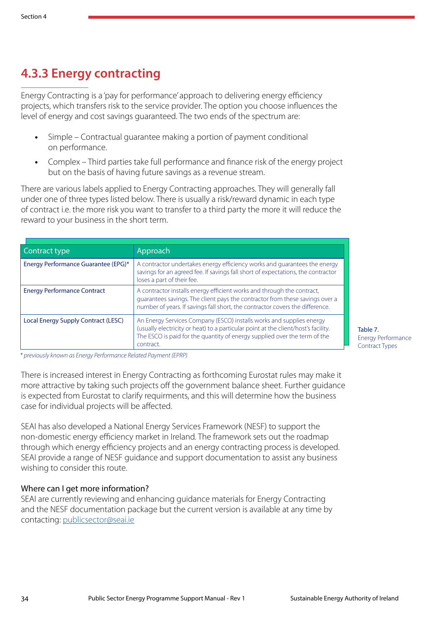## **4.3.3 Energy contracting**

Energy Contracting is a 'pay for performance' approach to delivering energy efficiency projects, which transfers risk to the service provider. The option you choose influences the level of energy and cost savings guaranteed. The two ends of the spectrum are:

- **•** Simple Contractual guarantee making a portion of payment conditional on performance.
- **•** Complex Third parties take full performance and finance risk of the energy project but on the basis of having future savings as a revenue stream.

There are various labels applied to Energy Contracting approaches. They will generally fall under one of three types listed below. There is usually a risk/reward dynamic in each type of contract i.e. the more risk you want to transfer to a third party the more it will reduce the reward to your business in the short term.

| Contract type                       | Approach                                                                                                                                                                                                                                             |
|-------------------------------------|------------------------------------------------------------------------------------------------------------------------------------------------------------------------------------------------------------------------------------------------------|
| Energy Performance Guarantee (EPG)* | A contractor undertakes energy efficiency works and quarantees the energy<br>savings for an agreed fee. If savings fall short of expectations, the contractor<br>loses a part of their fee.                                                          |
| <b>Energy Performance Contract</b>  | A contractor installs energy efficient works and through the contract,<br>guarantees savings. The client pays the contractor from these savings over a<br>number of years. If savings fall short, the contractor covers the difference.              |
| Local Energy Supply Contract (LESC) | An Energy Services Company (ESCO) installs works and supplies energy<br>(usually electricity or heat) to a particular point at the client/host's facility.<br>The ESCO is paid for the quantity of energy supplied over the term of the<br>contract. |

Table 7. Energy Performance Contract Types

*\* previously known as Energy Performance Related Payment (EPRP)*

There is increased interest in Energy Contracting as forthcoming Eurostat rules may make it more attractive by taking such projects off the government balance sheet. Further guidance is expected from Eurostat to clarify requirments, and this will determine how the business case for individual projects will be affected.

SEAI has also developed a National Energy Services Framework (NESF) to support the non-domestic energy efficiency market in Ireland. The framework sets out the roadmap through which energy efficiency projects and an energy contracting process is developed. SEAI provide a range of NESF guidance and support documentation to assist any business wishing to consider this route.

#### Where can I get more information?

SEAI are currently reviewing and enhancing guidance materials for Energy Contracting and the NESF documentation package but the current version is available at any time by contacting:<publicsector@seai.ie>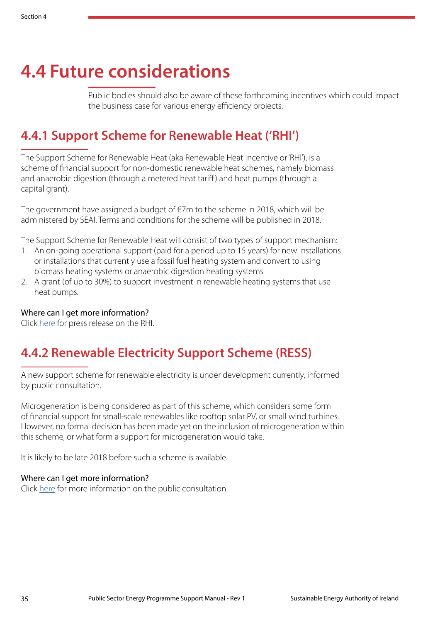# <span id="page-36-0"></span>**4.4 Future considerations**

Public bodies should also be aware of these forthcoming incentives which could impact the business case for various energy efficiency projects.

### **4.4.1 Support Scheme for Renewable Heat ('RHI')**

The Support Scheme for Renewable Heat (aka Renewable Heat Incentive or 'RHI'), is a scheme of financial support for non-domestic renewable heat schemes, namely biomass and anaerobic digestion (through a metered heat tariff) and heat pumps (through a capital grant).

The government have assigned a budget of  $\epsilon$ 7m to the scheme in 2018, which will be administered by SEAI. Terms and conditions for the scheme will be published in 2018.

The Support Scheme for Renewable Heat will consist of two types of support mechanism:

- 1. An on-going operational support (paid for a period up to 15 years) for new installations or installations that currently use a fossil fuel heating system and convert to using biomass heating systems or anaerobic digestion heating systems
- 2. A grant (of up to 30%) to support investment in renewable heating systems that use heat pumps.

#### Where can I get more information?

Click [here](https://www.dccae.gov.ie/en-ie/news-and-media/press-releases/Pages/Naughten-kick-starts-Biomass-and-Biogas-Sectors-with-introduction-of-Support-Scheme-for-Renewable-Heat-.aspx) for press release on the RHI.

### **4.4.2 Renewable Electricity Support Scheme (RESS)**

A new support scheme for renewable electricity is under development currently, informed by public consultation.

Microgeneration is being considered as part of this scheme, which considers some form of financial support for small-scale renewables like rooftop solar PV, or small wind turbines. However, no formal decision has been made yet on the inclusion of microgeneration within this scheme, or what form a support for microgeneration would take.

It is likely to be late 2018 before such a scheme is available.

#### Where can I get more information?

Click [here](https://www.dccae.gov.ie/en-ie/energy/consultations/Pages/Renewable-Electricity-Support-Scheme-Design-Consultation.aspx) for more information on the public consultation.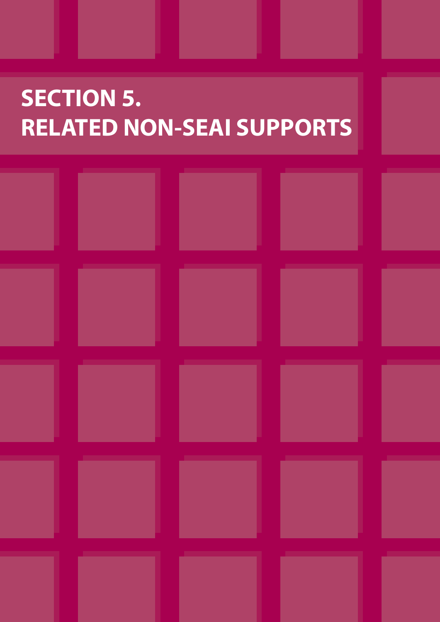# <span id="page-37-0"></span>**SECTION 5. RELATED NON-SEAI SUPPORTS**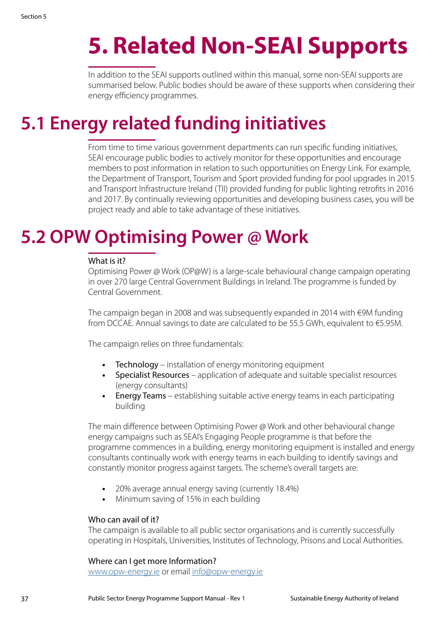# <span id="page-38-0"></span>**5. Related Non-SEAI Supports**

In addition to the SEAI supports outlined within this manual, some non-SEAI supports are summarised below. Public bodies should be aware of these supports when considering their energy efficiency programmes.

# **5.1 Energy related funding initiatives**

From time to time various government departments can run specific funding initiatives, SEAI encourage public bodies to actively monitor for these opportunities and encourage members to post information in relation to such opportunities on Energy Link. For example, the Department of Transport, Tourism and Sport provided funding for pool upgrades in 2015 and Transport Infrastructure Ireland (TII) provided funding for public lighting retrofits in 2016 and 2017. By continually reviewing opportunities and developing business cases, you will be project ready and able to take advantage of these initiatives.

## **5.2 OPW Optimising Power @ Work**

#### What is it?

Optimising Power @ Work (OP@W) is a large-scale behavioural change campaign operating in over 270 large Central Government Buildings in Ireland. The programme is funded by Central Government.

The campaign began in 2008 and was subsequently expanded in 2014 with €9M funding from DCCAE. Annual savings to date are calculated to be 55.5 GWh, equivalent to €5.95M.

The campaign relies on three fundamentals:

- **•** Technology installation of energy monitoring equipment
- **•** Specialist Resources application of adequate and suitable specialist resources (energy consultants)
- **•** Energy Teams establishing suitable active energy teams in each participating building

The main difference between Optimising Power @ Work and other behavioural change energy campaigns such as SEAI's Engaging People programme is that before the programme commences in a building, energy monitoring equipment is installed and energy consultants continually work with energy teams in each building to identify savings and constantly monitor progress against targets. The scheme's overall targets are:

- **•** 20% average annual energy saving (currently 18.4%)
- **•** Minimum saving of 15% in each building

#### Who can avail of it?

The campaign is available to all public sector organisations and is currently successfully operating in Hospitals, Universities, Institutes of Technology, Prisons and Local Authorities.

#### Where can I get more Information?

<www.opw-energy.ie> or email<info@opw-energy.ie>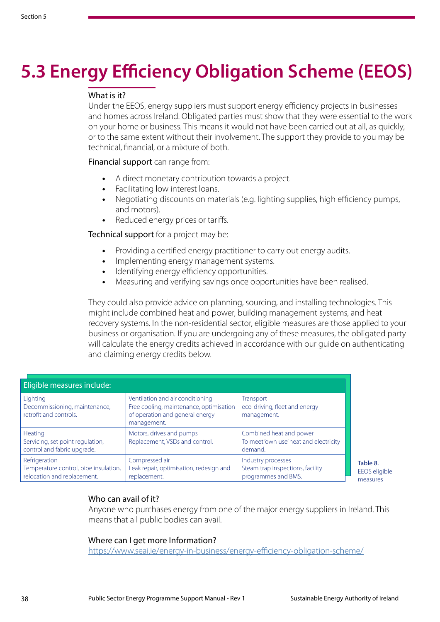# **5.3 Energy Efficiency Obligation Scheme (EEOS)**

#### What is it?

Under the EEOS, energy suppliers must support energy efficiency projects in businesses and homes across Ireland. Obligated parties must show that they were essential to the work on your home or business. This means it would not have been carried out at all, as quickly, or to the same extent without their involvement. The support they provide to you may be technical, financial, or a mixture of both.

Financial support can range from:

- **•** A direct monetary contribution towards a project.
- **•** Facilitating low interest loans.
- **•** Negotiating discounts on materials (e.g. lighting supplies, high efficiency pumps, and motors).
- **•** Reduced energy prices or tariffs.

Technical support for a project may be:

- **•** Providing a certified energy practitioner to carry out energy audits.
- **•** Implementing energy management systems.
- **•** Identifying energy efficiency opportunities.
- **•** Measuring and verifying savings once opportunities have been realised.

They could also provide advice on planning, sourcing, and installing technologies. This might include combined heat and power, building management systems, and heat recovery systems. In the non-residential sector, eligible measures are those applied to your business or organisation. If you are undergoing any of these measures, the obligated party will calculate the energy credits achieved in accordance with our quide on authenticating and claiming energy credits below.

| Eligible measures include:                                                            |                                                                                                                               |                                                                               |  |  |  |  |
|---------------------------------------------------------------------------------------|-------------------------------------------------------------------------------------------------------------------------------|-------------------------------------------------------------------------------|--|--|--|--|
| Lighting<br>Decommissioning, maintenance,<br>retrofit and controls.                   | Ventilation and air conditioning<br>Free cooling, maintenance, optimisation<br>of operation and general energy<br>management. | Transport<br>eco-driving, fleet and energy<br>management.                     |  |  |  |  |
| <b>Heating</b><br>Servicing, set point regulation,<br>control and fabric upgrade.     | Motors, drives and pumps<br>Replacement, VSDs and control.                                                                    | Combined heat and power<br>To meet 'own use' heat and electricity<br>demand.  |  |  |  |  |
| Refrigeration<br>Temperature control, pipe insulation,<br>relocation and replacement. | Compressed air<br>Leak repair, optimisation, redesign and<br>replacement.                                                     | Industry processes<br>Steam trap inspections, facility<br>programmes and BMS. |  |  |  |  |

Table 8. EEOS eligible measures

#### Who can avail of it?

Anyone who purchases energy from one of the major energy suppliers in Ireland. This means that all public bodies can avail.

#### Where can I get more Information?

<https://www.seai.ie/energy-in-business/energy-efficiency-obligation-scheme/>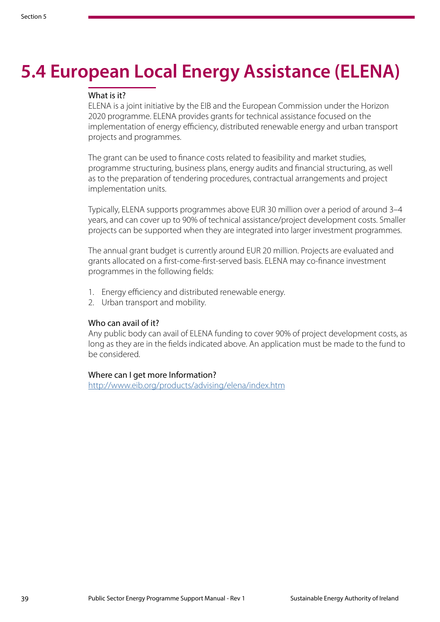# **5.4 European Local Energy Assistance (ELENA)**

#### What is it?

ELENA is a joint initiative by the EIB and the European Commission under the Horizon 2020 programme. ELENA provides grants for technical assistance focused on the implementation of energy efficiency, distributed renewable energy and urban transport projects and programmes.

The grant can be used to finance costs related to feasibility and market studies, programme structuring, business plans, energy audits and financial structuring, as well as to the preparation of tendering procedures, contractual arrangements and project implementation units.

Typically, ELENA supports programmes above EUR 30 million over a period of around 3–4 years, and can cover up to 90% of technical assistance/project development costs. Smaller projects can be supported when they are integrated into larger investment programmes.

The annual grant budget is currently around EUR 20 million. Projects are evaluated and grants allocated on a first-come-first-served basis. ELENA may co-finance investment programmes in the following fields:

- 1. Energy efficiency and distributed renewable energy.
- 2. Urban transport and mobility.

#### Who can avail of it?

Any public body can avail of ELENA funding to cover 90% of project development costs, as long as they are in the fields indicated above. An application must be made to the fund to be considered.

#### Where can I get more Information?

<http://www.eib.org/products/advising/elena/index.htm>